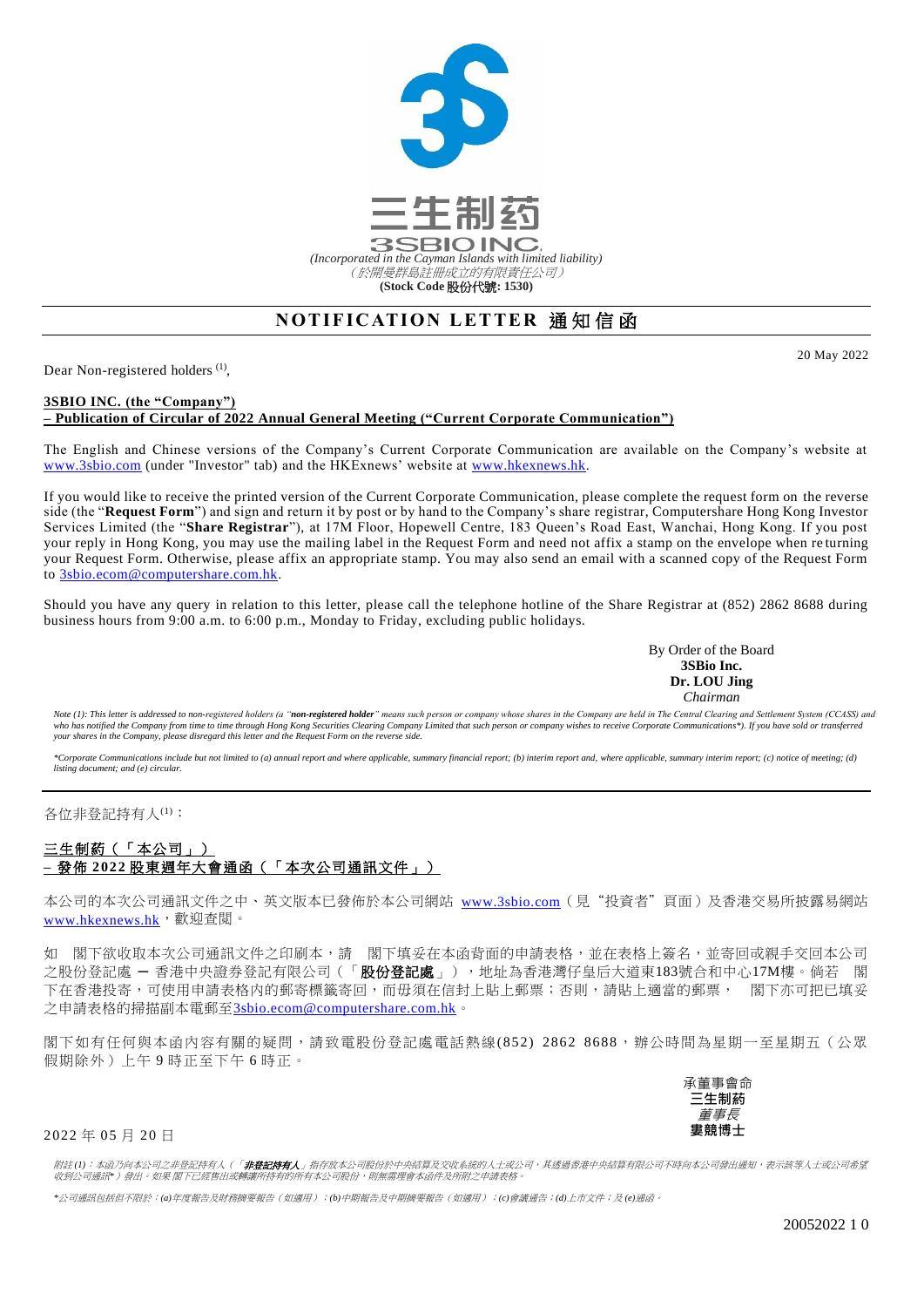

## **NOTIFICATION LETTER 通知信函**

Dear Non-registered holders<sup>(1)</sup>,

## **3SBIO INC. (the "Company") – Publication of Circular of 2022 Annual General Meeting ("Current Corporate Communication")**

The English and Chinese versions of the Company's Current Corporate Communication are available on the Company's website at [www.3sbio.com](http://www.3sbio.com/) (under "Investor" tab) and the HKExnews' website at [www.hkexnews.hk.](http://www.hkexnews.hk/)

If you would like to receive the printed version of the Current Corporate Communication, please complete the request form on the reverse side (the "**Request Form**") and sign and return it by post or by hand to the Company's share registrar, Computershare Hong Kong Investor Services Limited (the "**Share Registrar**"), at 17M Floor, Hopewell Centre, 183 Queen's Road East, Wanchai, Hong Kong. If you post your reply in Hong Kong, you may use the mailing label in the Request Form and need not affix a stamp on the envelope when re turning your Request Form. Otherwise, please affix an appropriate stamp. You may also send an email with a scanned copy of the Request Form to [3sbio.ecom@computershare.com.hk.](mailto:3sbio.ecom@computershare.com.hk)

Should you have any query in relation to this letter, please call the telephone hotline of the Share Registrar at (852) 2862 8688 during business hours from 9:00 a.m. to 6:00 p.m., Monday to Friday, excluding public holidays.

> By Order of the Board **3SBio Inc. Dr. LOU Jing** *Chairman*

Note (1): This letter is addressed to non-registered holders (a "non-registered holder" means such person or company whose shares in the Company are held in The Central Clearing and Settlement System (CCASS) and who has notified the Company from time to time through Hong Kong Securities Clearing Company Limited that such person or company wishes to receive Corporate Communications\*). If you have sold or transferred<br>your shares in

\*Corporate Communications include but not limited to (a) annual report and where applicable, summary, financial report; (b) interim report and, where applicable, summary interim report; (c) notice of meeting; (d)<br>listing d

各位非登記持有人(1):

## 三生制葯(「本公司」) **–** 發佈 **2022** 股東週年大會通函(「本次公司通訊文件」)

本公司的本次公司通訊文件之中、英文版本已發佈於本公司網站 [www.3sbio.com](http://www.3sbio.com/)(見"投資者"頁面)及香港交易所披露易網站 [www.hkexnews.hk](http://www.hkexnews.hk/),避迎查閱。

如 閣下欲收取本次公司通訊文件之印刷本,請 閣下填妥在本函背面的申請表格,並在表格上簽名,並寄回戓親手交回本公司 之股份登記處 — 香港中央證券登記有限公司(「**股份登記處**」),地址為香港灣仔皇后大道東183號合和中心17M樓。倘若 閣 下在香港投寄,可使用申請表格内的郵寄標籤寄回,而毋須在信封上貼上郵票;否則,請貼上適當的郵票, 閣下亦可把已填妥 之申請表格的掃描副本電郵至3sbio.ecom@computershare.com.hk。

閣下如有任何與本函內容有關的疑問,請致電股份登記處電話熱線(852) 2862 8688,辦公時間為星期一至星期五(公眾 假期除外)上午 9 時正至下午 6 時正。

> 承董事會命 **三生制葯** 董事長 **婁競博士**

2022 年 05 月 20 日

附註 (1):本函乃向本公司之非登記持有人(「**非登記持有人**」指存放本公司股份於中央結算及交收系統的人士或公司,其透過香港中央結算有限公司不時向本公司發出通知,表示該等人士或公司希望<br>收到公司通訊\*)發出。如果 閣下已經售出或轉讓所持有的所有本公司股份,則無需理會本函件及所附之申請表格。

*\**公司通訊包括但不限於:*(a)*年度報告及財務摘要報告(如適用);*(b)*中期報告及中期摘要報告(如適用);*(c)*會議通告;*(d)*上市文件;及 *(e)*通函。

20 May 2022